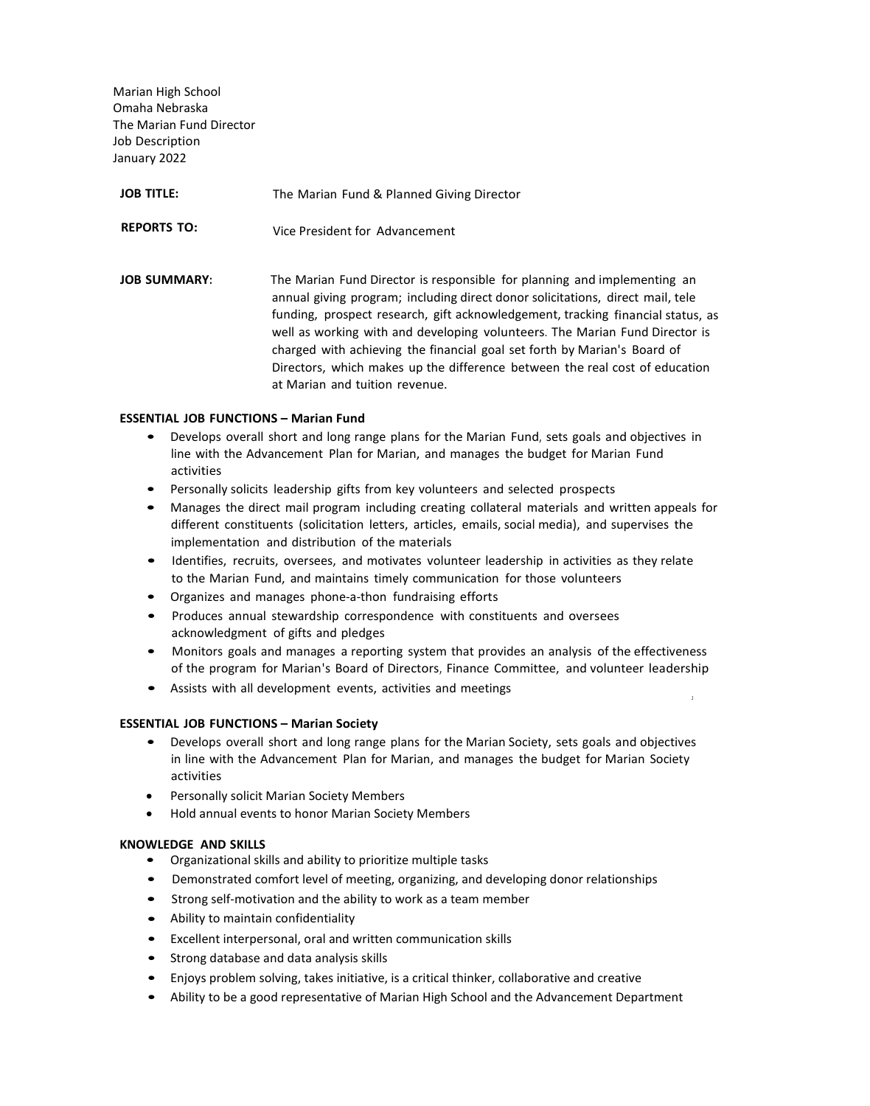Marian High School Omaha Nebraska The Marian Fund Director Job Description January 2022

| <b>JOB TITLE:</b>   | The Marian Fund & Planned Giving Director                                                                                                                                                                                                                                                                                                                                                                                                                                                                                 |
|---------------------|---------------------------------------------------------------------------------------------------------------------------------------------------------------------------------------------------------------------------------------------------------------------------------------------------------------------------------------------------------------------------------------------------------------------------------------------------------------------------------------------------------------------------|
| <b>REPORTS TO:</b>  | Vice President for Advancement                                                                                                                                                                                                                                                                                                                                                                                                                                                                                            |
| <b>JOB SUMMARY:</b> | The Marian Fund Director is responsible for planning and implementing an<br>annual giving program; including direct donor solicitations, direct mail, tele<br>funding, prospect research, gift acknowledgement, tracking financial status, as<br>well as working with and developing volunteers. The Marian Fund Director is<br>charged with achieving the financial goal set forth by Marian's Board of<br>Directors, which makes up the difference between the real cost of education<br>at Marian and tuition revenue. |

## **ESSENTIAL JOB FUNCTIONS – Marian Fund**

- Develops overall short and long range plans for the Marian Fund, sets goals and objectives in line with the Advancement Plan for Marian, and manages the budget for Marian Fund activities
- Personally solicits leadership gifts from key volunteers and selected prospects
- Manages the direct mail program including creating collateral materials and written appeals for different constituents (solicitation letters, articles, emails, social media), and supervises the implementation and distribution of the materials
- Identifies, recruits, oversees, and motivates volunteer leadership in activities as they relate to the Marian Fund, and maintains timely communication for those volunteers
- Organizes and manages phone-a-thon fundraising efforts
- Produces annual stewardship correspondence with constituents and oversees acknowledgment of gifts and pledges
- Monitors goals and manages a reporting system that provides an analysis of the effectiveness of the program for Marian's Board of Directors, Finance Committee, and volunteer leadership
- Assists with all development events, activities and meetings *<sup>1</sup>*

## **ESSENTIAL JOB FUNCTIONS – Marian Society**

- Develops overall short and long range plans for the Marian Society, sets goals and objectives in line with the Advancement Plan for Marian, and manages the budget for Marian Society activities
- Personally solicit Marian Society Members
- Hold annual events to honor Marian Society Members

## **KNOWLEDGE AND SKILLS**

- Organizational skills and ability to prioritize multiple tasks
- Demonstrated comfort level of meeting, organizing, and developing donor relationships
- Strong self-motivation and the ability to work as a team member
- Ability to maintain confidentiality
- Excellent interpersonal, oral and written communication skills
- Strong database and data analysis skills
- Enjoys problem solving, takes initiative, is a critical thinker, collaborative and creative
- Ability to be a good representative of Marian High School and the Advancement Department